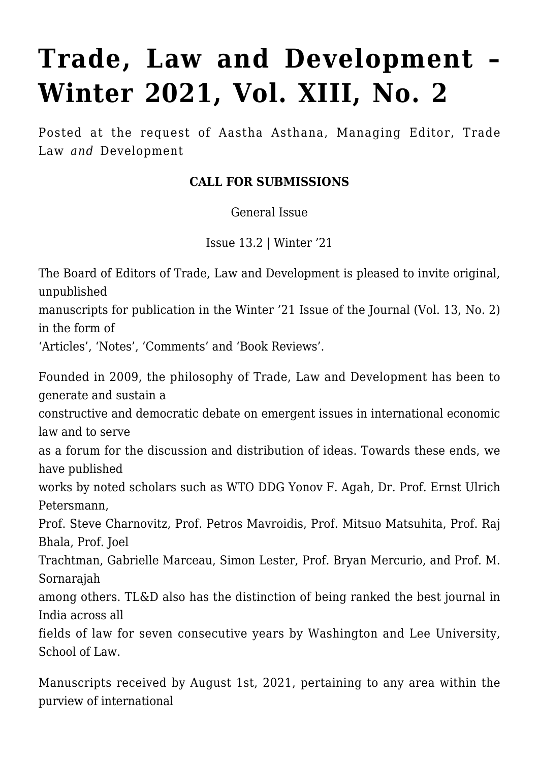## **[Trade, Law and Development –](https://conflictoflaws.net/2021/trade-law-and-development-winter-2021-vol-xiii-no-2/) [Winter 2021, Vol. XIII, No. 2](https://conflictoflaws.net/2021/trade-law-and-development-winter-2021-vol-xiii-no-2/)**

Posted at the request of Aastha Asthana, Managing Editor, Trade Law *and* Development

## **CALL FOR SUBMISSIONS**

General Issue

Issue 13.2 | Winter '21

The Board of Editors of Trade, Law and Development is pleased to invite original, unpublished

manuscripts for publication in the Winter '21 Issue of the Journal (Vol. 13, No. 2) in the form of

'Articles', 'Notes', 'Comments' and 'Book Reviews'.

Founded in 2009, the philosophy of Trade, Law and Development has been to generate and sustain a

constructive and democratic debate on emergent issues in international economic law and to serve

as a forum for the discussion and distribution of ideas. Towards these ends, we have published

works by noted scholars such as WTO DDG Yonov F. Agah, Dr. Prof. Ernst Ulrich Petersmann,

Prof. Steve Charnovitz, Prof. Petros Mavroidis, Prof. Mitsuo Matsuhita, Prof. Raj Bhala, Prof. Joel

Trachtman, Gabrielle Marceau, Simon Lester, Prof. Bryan Mercurio, and Prof. M. Sornarajah

among others. TL&D also has the distinction of being ranked the best journal in India across all

fields of law for seven consecutive years by Washington and Lee University, School of Law.

Manuscripts received by August 1st, 2021, pertaining to any area within the purview of international